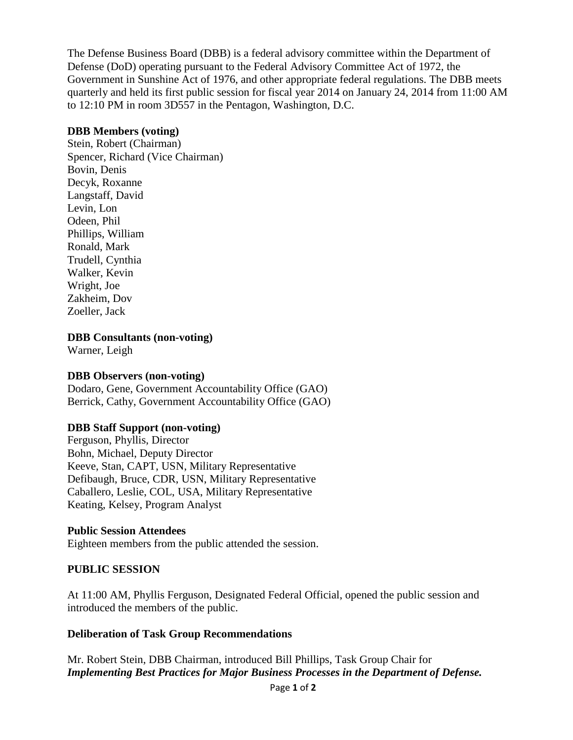The Defense Business Board (DBB) is a federal advisory committee within the Department of Defense (DoD) operating pursuant to the Federal Advisory Committee Act of 1972, the Government in Sunshine Act of 1976, and other appropriate federal regulations. The DBB meets quarterly and held its first public session for fiscal year 2014 on January 24, 2014 from 11:00 AM to 12:10 PM in room 3D557 in the Pentagon, Washington, D.C.

### **DBB Members (voting)**

Stein, Robert (Chairman) Spencer, Richard (Vice Chairman) Bovin, Denis Decyk, Roxanne Langstaff, David Levin, Lon Odeen, Phil Phillips, William Ronald, Mark Trudell, Cynthia Walker, Kevin Wright, Joe Zakheim, Dov Zoeller, Jack

**DBB Consultants (non-voting)**

Warner, Leigh

# **DBB Observers (non-voting)**

Dodaro, Gene, Government Accountability Office (GAO) Berrick, Cathy, Government Accountability Office (GAO)

# **DBB Staff Support (non-voting)**

Ferguson, Phyllis, Director Bohn, Michael, Deputy Director Keeve, Stan, CAPT, USN, Military Representative Defibaugh, Bruce, CDR, USN, Military Representative Caballero, Leslie, COL, USA, Military Representative Keating, Kelsey, Program Analyst

# **Public Session Attendees**

Eighteen members from the public attended the session.

# **PUBLIC SESSION**

At 11:00 AM, Phyllis Ferguson, Designated Federal Official, opened the public session and introduced the members of the public.

# **Deliberation of Task Group Recommendations**

Mr. Robert Stein, DBB Chairman, introduced Bill Phillips, Task Group Chair for *Implementing Best Practices for Major Business Processes in the Department of Defense.*

Page **1** of **2**